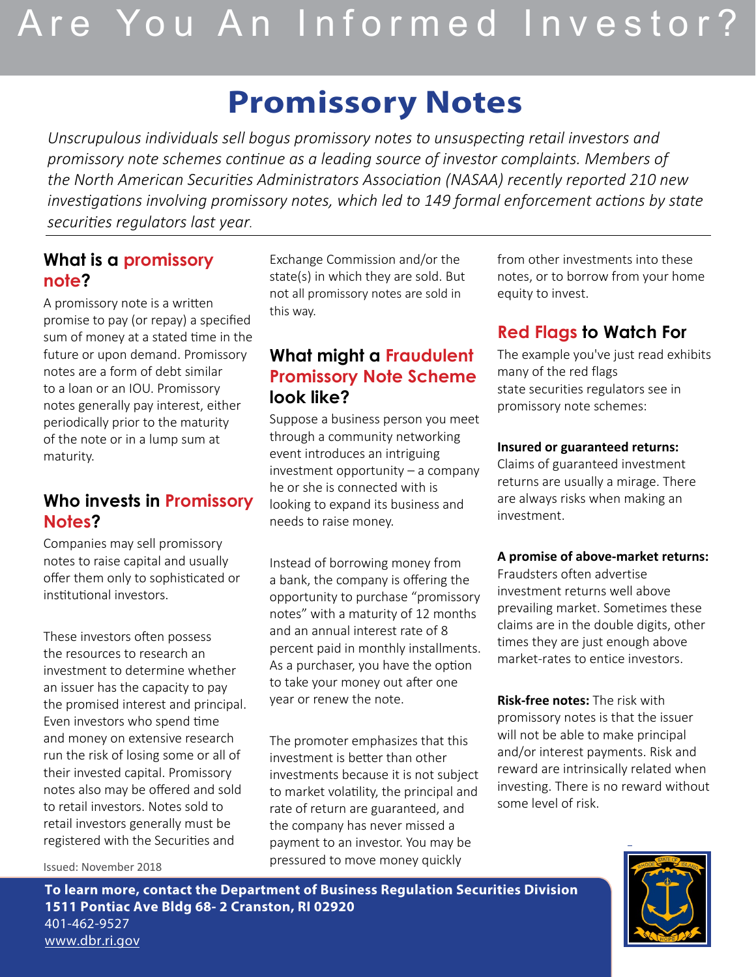# Are You An Informed Investor?

## **Promissory Notes**

*Unscrupulous individuals sell bogus promissory notes to unsuspecting retail investors and promissory note schemes continue as a leading source of investor complaints. Members of the North American Securities Administrators Association (NASAA) recently reported 210 new investigations involving promissory notes, which led to 149 formal enforcement actions by state securities regulators last year.*

## **What is a promissory note?**

A promissory note is a written promise to pay (or repay) a specified sum of money at a stated time in the future or upon demand. Promissory notes are a form of debt similar to a loan or an IOU. Promissory notes generally pay interest, either periodically prior to the maturity of the note or in a lump sum at maturity.

## **Who invests in Promissory Notes?**

Companies may sell promissory notes to raise capital and usually offer them only to sophisticated or institutional investors.

These investors often possess the resources to research an investment to determine whether an issuer has the capacity to pay the promised interest and principal. Even investors who spend time and money on extensive research run the risk of losing some or all of their invested capital. Promissory notes also may be offered and sold to retail investors. Notes sold to retail investors generally must be registered with the Securities and

Exchange Commission and/or the state(s) in which they are sold. But not all promissory notes are sold in this way.

## **What might a Fraudulent Promissory Note Scheme look like?**

Suppose a business person you meet through a community networking event introduces an intriguing investment opportunity – a company he or she is connected with is looking to expand its business and needs to raise money.

Instead of borrowing money from a bank, the company is offering the opportunity to purchase "promissory notes" with a maturity of 12 months and an annual interest rate of 8 percent paid in monthly installments. As a purchaser, you have the option to take your money out after one year or renew the note.

The promoter emphasizes that this investment is better than other investments because it is not subject to market volatility, the principal and rate of return are guaranteed, and the company has never missed a payment to an investor. You may be pressured to move money quickly

from other investments into these notes, or to borrow from your home equity to invest.

## **Red Flags to Watch For**

The example you've just read exhibits many of the red flags state securities regulators see in promissory note schemes:

#### **Insured or guaranteed returns:**

Claims of guaranteed investment returns are usually a mirage. There are always risks when making an investment.

#### **A promise of above-market returns:**

Fraudsters often advertise investment returns well above prevailing market. Sometimes these claims are in the double digits, other times they are just enough above market-rates to entice investors.

**Risk-free notes:** The risk with promissory notes is that the issuer will not be able to make principal and/or interest payments. Risk and reward are intrinsically related when investing. There is no reward without some level of risk.



Issued: November 2018

**To learn more, contact the Department of Business Regulation Securities Division 1511 Pontiac Ave Bldg 68- 2 Cranston, RI 02920**  401-462-9527 www.dbr.ri.gov